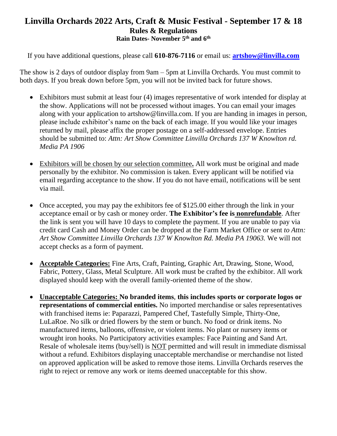## **Linvilla Orchards 2022 Arts, Craft & Music Festival - September 17 & 18 Rules & Regulations Rain Dates- November 5 th and 6th**

If you have additional questions, please call **610-876-7116** or email us: **[artshow@linvilla.com](mailto:artshow@linvilla.com)**

The show is 2 days of outdoor display from 9am – 5pm at Linvilla Orchards. You must commit to both days. If you break down before 5pm, you will not be invited back for future shows.

- Exhibitors must submit at least four (4) images representative of work intended for display at the show. Applications will not be processed without images. You can email your images along with your application to artshow@linvilla.com. If you are handing in images in person, please include exhibitor's name on the back of each image. If you would like your images returned by mail, please affix the proper postage on a self-addressed envelope. Entries should be submitted to: *Attn: Art Show Committee Linvilla Orchards 137 W Knowlton rd. Media PA 1906*
- Exhibitors will be chosen by our selection committee**.** All work must be original and made personally by the exhibitor. No commission is taken. Every applicant will be notified via email regarding acceptance to the show. If you do not have email, notifications will be sent via mail.
- Once accepted, you may pay the exhibitors fee of \$125.00 either through the link in your acceptance email or by cash or money order. **The Exhibitor's fee is nonrefundable**. After the link is sent you will have 10 days to complete the payment. If you are unable to pay via credit card Cash and Money Order can be dropped at the Farm Market Office or sent *to Attn: Art Show Committee Linvilla Orchards 137 W Knowlton Rd. Media PA 19063.* We will not accept checks as a form of payment.
- **Acceptable Categories:** Fine Arts, Craft, Painting, Graphic Art, Drawing, Stone, Wood, Fabric, Pottery, Glass, Metal Sculpture. All work must be crafted by the exhibitor. All work displayed should keep with the overall family-oriented theme of the show.
- **Unacceptable Categories: No branded items**, **this includes sports or corporate logos or representations of commercial entities.** No imported merchandise or sales representatives with franchised items ie: Paparazzi, Pampered Chef, Tastefully Simple, Thirty-One, LuLaRoe. No silk or dried flowers by the stem or bunch. No food or drink items. No manufactured items, balloons, offensive, or violent items. No plant or nursery items or wrought iron hooks. No Participatory activities examples: Face Painting and Sand Art. Resale of wholesale items (buy/sell) is NOT permitted and will result in immediate dismissal without a refund. Exhibitors displaying unacceptable merchandise or merchandise not listed on approved application will be asked to remove those items. Linvilla Orchards reserves the right to reject or remove any work or items deemed unacceptable for this show.